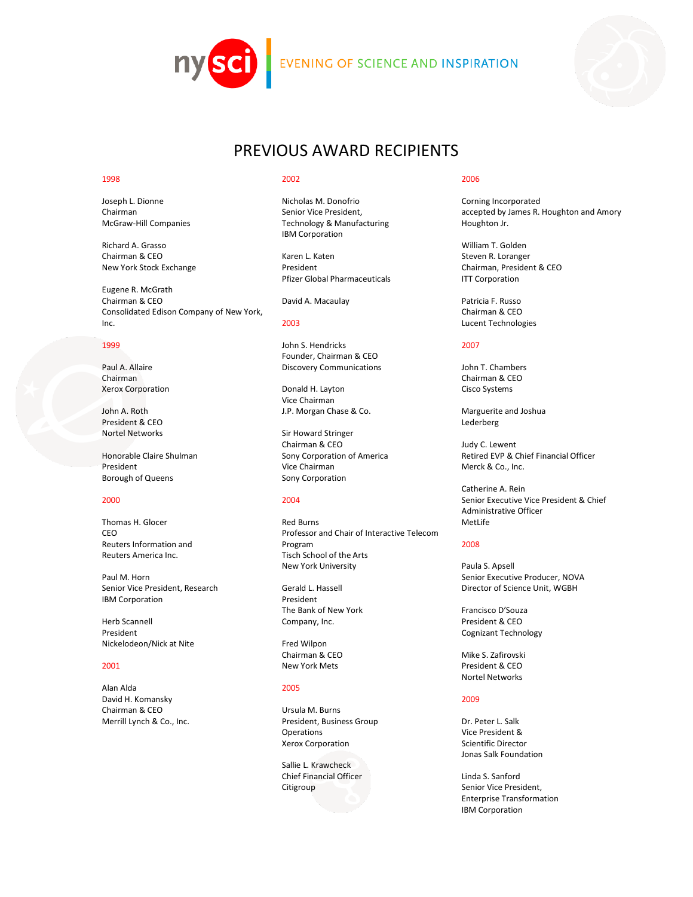



# PREVIOUS AWARD RECIPIENTS

#### 1998

Joseph L. Dionne Chairman McGraw-Hill Companies

Richard A. Grasso Chairman & CEO New York Stock Exchange

Eugene R. McGrath Chairman & CEO Consolidated Edison Company of New York, Inc.

#### 1999

Paul A. Allaire Chairman Xerox Corporation

John A. Roth President & CEO Nortel Networks

Honorable Claire Shulman President Borough of Queens

#### 2000

Thomas H. Glocer CEO Reuters Information and Reuters America Inc.

Paul M. Horn Senior Vice President, Research IBM Corporation

Herb Scannell President Nickelodeon/Nick at Nite

#### 2001

Alan Alda David H. Komansky Chairman & CEO Merrill Lynch & Co., Inc.

### 2002

Nicholas M. Donofrio Senior Vice President, Technology & Manufacturing IBM Corporation

Karen L. Katen President Pfizer Global Pharmaceuticals

David A. Macaulay

### 2003

John S. Hendricks Founder, Chairman & CEO Discovery Communications

Donald H. Layton Vice Chairman J.P. Morgan Chase & Co.

Sir Howard Stringer Chairman & CEO Sony Corporation of America Vice Chairman Sony Corporation

# 2004

Red Burns Professor and Chair of Interactive Telecom Program Tisch School of the Arts New York University

Gerald L. Hassell President The Bank of New York Company, Inc.

Fred Wilpon Chairman & CEO New York Mets

#### 2005

Ursula M. Burns President, Business Group **Operations** Xerox Corporation

Sallie L. Krawcheck Chief Financial Officer Citigroup

#### 2006

Corning Incorporated accepted by James R. Houghton and Amory Houghton Jr.

William T. Golden Steven R. Loranger Chairman, President & CEO ITT Corporation

Patricia F. Russo Chairman & CEO Lucent Technologies

#### 2007

John T. Chambers Chairman & CEO Cisco Systems

Marguerite and Joshua Lederberg

Judy C. Lewent Retired EVP & Chief Financial Officer Merck & Co., Inc.

Catherine A. Rein Senior Executive Vice President & Chief Administrative Officer MetLife

#### 2008

Paula S. Apsell Senior Executive Producer, NOVA Director of Science Unit, WGBH

Francisco D'Souza President & CEO Cognizant Technology

Mike S. Zafirovski President & CEO Nortel Networks

# 2009

Dr. Peter L. Salk Vice President & Scientific Director Jonas Salk Foundation

Linda S. Sanford Senior Vice President, Enterprise Transformation IBM Corporation